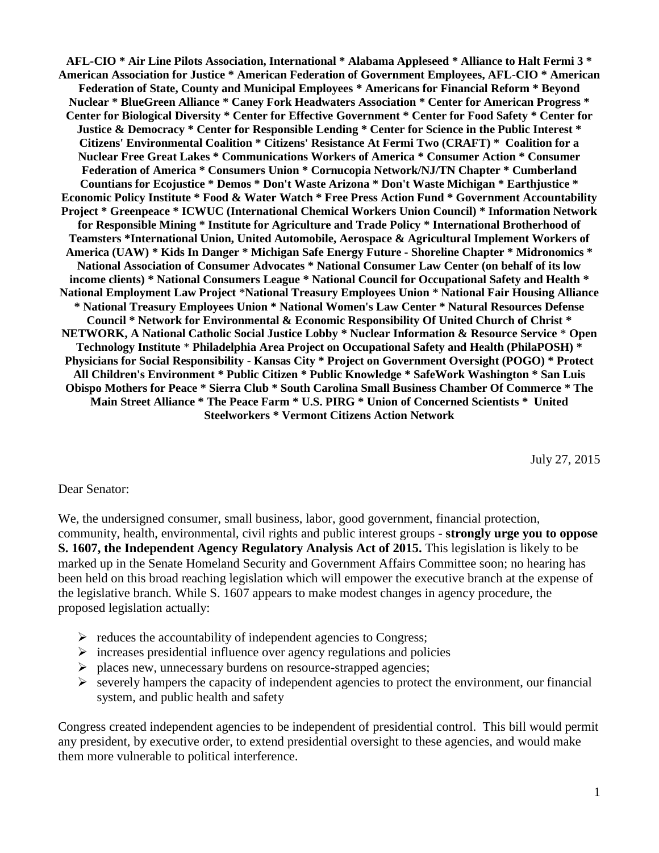**AFL-CIO \* Air Line Pilots Association, International \* Alabama Appleseed \* Alliance to Halt Fermi 3 \* American Association for Justice \* American Federation of Government Employees, AFL-CIO \* American Federation of State, County and Municipal Employees \* Americans for Financial Reform \* Beyond Nuclear \* BlueGreen Alliance \* Caney Fork Headwaters Association \* Center for American Progress \* Center for Biological Diversity \* Center for Effective Government \* Center for Food Safety \* Center for Justice & Democracy \* Center for Responsible Lending \* Center for Science in the Public Interest \* Citizens' Environmental Coalition \* Citizens' Resistance At Fermi Two (CRAFT) \* Coalition for a Nuclear Free Great Lakes \* Communications Workers of America \* Consumer Action \* Consumer Federation of America \* Consumers Union \* Cornucopia Network/NJ/TN Chapter \* Cumberland Countians for Ecojustice \* Demos \* Don't Waste Arizona \* Don't Waste Michigan \* Earthjustice \* Economic Policy Institute \* Food & Water Watch \* Free Press Action Fund \* Government Accountability Project \* Greenpeace \* ICWUC (International Chemical Workers Union Council) \* Information Network for Responsible Mining \* Institute for Agriculture and Trade Policy \* International Brotherhood of Teamsters \*International Union, United Automobile, Aerospace & Agricultural Implement Workers of America (UAW) \* Kids In Danger \* Michigan Safe Energy Future - Shoreline Chapter \* Midronomics \* National Association of Consumer Advocates \* National Consumer Law Center (on behalf of its low income clients) \* National Consumers League \* National Council for Occupational Safety and Health \* National Employment Law Project** \***National Treasury Employees Union** \* **National Fair Housing Alliance \* National Treasury Employees Union \* National Women's Law Center \* Natural Resources Defense Council \* Network for Environmental & Economic Responsibility Of United Church of Christ \* NETWORK, A National Catholic Social Justice Lobby \* Nuclear Information & Resource Service** \* **Open Technology Institute** \* **Philadelphia Area Project on Occupational Safety and Health (PhilaPOSH) \* Physicians for Social Responsibility - Kansas City \* Project on Government Oversight (POGO) \* Protect All Children's Environment \* Public Citizen \* Public Knowledge \* SafeWork Washington \* San Luis Obispo Mothers for Peace \* Sierra Club \* South Carolina Small Business Chamber Of Commerce \* The Main Street Alliance \* The Peace Farm \* U.S. PIRG \* Union of Concerned Scientists \* United Steelworkers \* Vermont Citizens Action Network**

July 27, 2015

## Dear Senator:

We, the undersigned consumer, small business, labor, good government, financial protection, community, health, environmental, civil rights and public interest groups - **strongly urge you to oppose S. 1607, the Independent Agency Regulatory Analysis Act of 2015.** This legislation is likely to be marked up in the Senate Homeland Security and Government Affairs Committee soon; no hearing has been held on this broad reaching legislation which will empower the executive branch at the expense of the legislative branch. While S. 1607 appears to make modest changes in agency procedure, the proposed legislation actually:

- $\triangleright$  reduces the accountability of independent agencies to Congress;
- $\triangleright$  increases presidential influence over agency regulations and policies
- $\triangleright$  places new, unnecessary burdens on resource-strapped agencies;
- $\triangleright$  severely hampers the capacity of independent agencies to protect the environment, our financial system, and public health and safety

Congress created independent agencies to be independent of presidential control. This bill would permit any president, by executive order, to extend presidential oversight to these agencies, and would make them more vulnerable to political interference.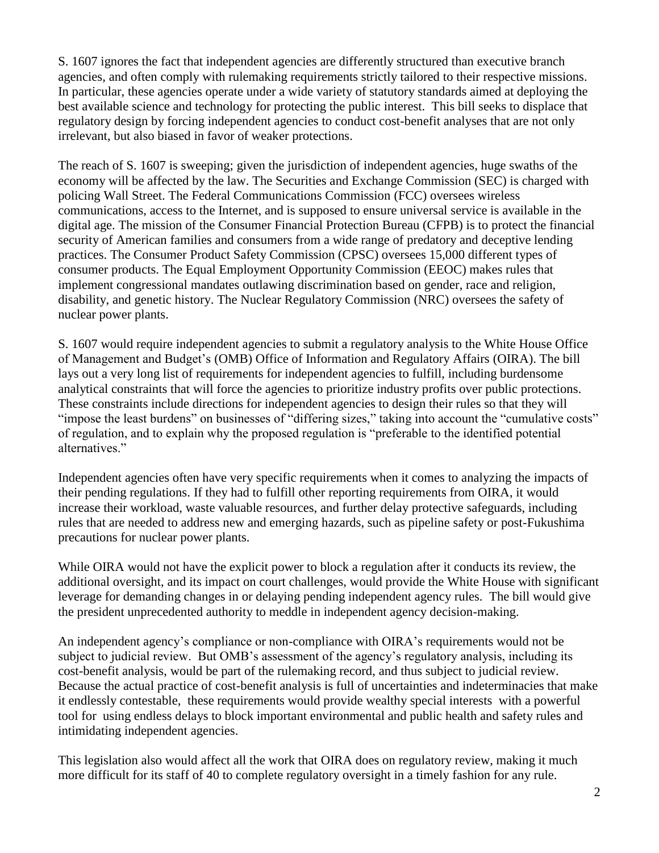S. 1607 ignores the fact that independent agencies are differently structured than executive branch agencies, and often comply with rulemaking requirements strictly tailored to their respective missions. In particular, these agencies operate under a wide variety of statutory standards aimed at deploying the best available science and technology for protecting the public interest. This bill seeks to displace that regulatory design by forcing independent agencies to conduct cost-benefit analyses that are not only irrelevant, but also biased in favor of weaker protections.

The reach of S. 1607 is sweeping; given the jurisdiction of independent agencies, huge swaths of the economy will be affected by the law. The Securities and Exchange Commission (SEC) is charged with policing Wall Street. The Federal Communications Commission (FCC) oversees wireless communications, access to the Internet, and is supposed to ensure universal service is available in the digital age. The mission of the Consumer Financial Protection Bureau (CFPB) is to protect the financial security of American families and consumers from a wide range of predatory and deceptive lending practices. The Consumer Product Safety Commission (CPSC) oversees 15,000 different types of consumer products. The Equal Employment Opportunity Commission (EEOC) makes rules that implement congressional mandates outlawing discrimination based on gender, race and religion, disability, and genetic history. The Nuclear Regulatory Commission (NRC) oversees the safety of nuclear power plants.

S. 1607 would require independent agencies to submit a regulatory analysis to the White House Office of Management and Budget's (OMB) Office of Information and Regulatory Affairs (OIRA). The bill lays out a very long list of requirements for independent agencies to fulfill, including burdensome analytical constraints that will force the agencies to prioritize industry profits over public protections. These constraints include directions for independent agencies to design their rules so that they will "impose the least burdens" on businesses of "differing sizes," taking into account the "cumulative costs" of regulation, and to explain why the proposed regulation is "preferable to the identified potential alternatives."

Independent agencies often have very specific requirements when it comes to analyzing the impacts of their pending regulations. If they had to fulfill other reporting requirements from OIRA, it would increase their workload, waste valuable resources, and further delay protective safeguards, including rules that are needed to address new and emerging hazards, such as pipeline safety or post-Fukushima precautions for nuclear power plants.

While OIRA would not have the explicit power to block a regulation after it conducts its review, the additional oversight, and its impact on court challenges, would provide the White House with significant leverage for demanding changes in or delaying pending independent agency rules. The bill would give the president unprecedented authority to meddle in independent agency decision-making.

An independent agency's compliance or non-compliance with OIRA's requirements would not be subject to judicial review. But OMB's assessment of the agency's regulatory analysis, including its cost-benefit analysis, would be part of the rulemaking record, and thus subject to judicial review. Because the actual practice of cost-benefit analysis is full of uncertainties and indeterminacies that make it endlessly contestable, these requirements would provide wealthy special interests with a powerful tool for using endless delays to block important environmental and public health and safety rules and intimidating independent agencies.

This legislation also would affect all the work that OIRA does on regulatory review, making it much more difficult for its staff of 40 to complete regulatory oversight in a timely fashion for any rule.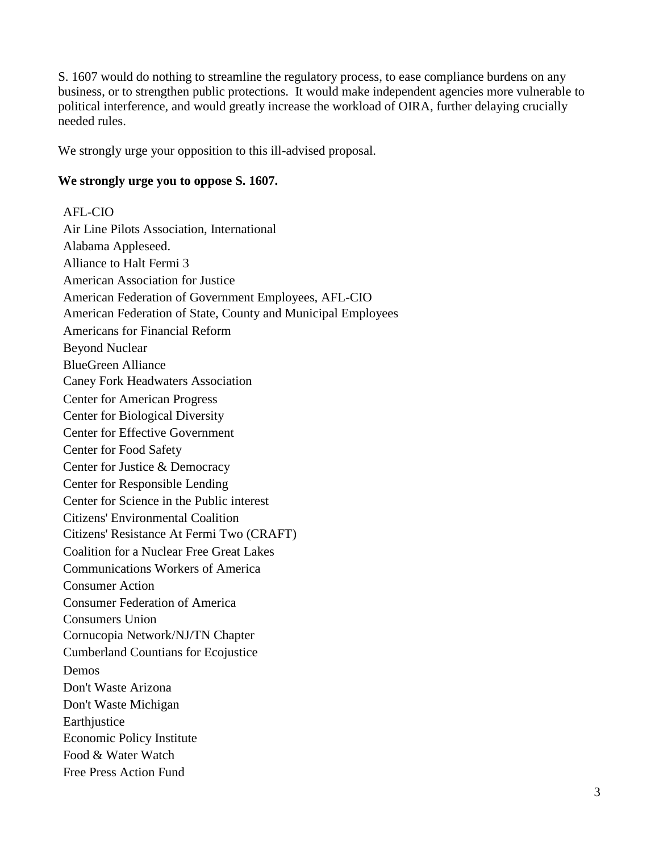S. 1607 would do nothing to streamline the regulatory process, to ease compliance burdens on any business, or to strengthen public protections. It would make independent agencies more vulnerable to political interference, and would greatly increase the workload of OIRA, further delaying crucially needed rules.

We strongly urge your opposition to this ill-advised proposal.

## **We strongly urge you to oppose S. 1607.**

AFL-CIO Air Line Pilots Association, International Alabama Appleseed. Alliance to Halt Fermi 3 American Association for Justice American Federation of Government Employees, AFL-CIO American Federation of State, County and Municipal Employees Americans for Financial Reform Beyond Nuclear BlueGreen Alliance Caney Fork Headwaters Association Center for American Progress Center for Biological Diversity Center for Effective Government Center for Food Safety Center for Justice & Democracy Center for Responsible Lending Center for Science in the Public interest Citizens' Environmental Coalition Citizens' Resistance At Fermi Two (CRAFT) Coalition for a Nuclear Free Great Lakes Communications Workers of America Consumer Action Consumer Federation of America Consumers Union Cornucopia Network/NJ/TN Chapter Cumberland Countians for Ecojustice Demos Don't Waste Arizona Don't Waste Michigan **Earthjustice** Economic Policy Institute Food & Water Watch Free Press Action Fund